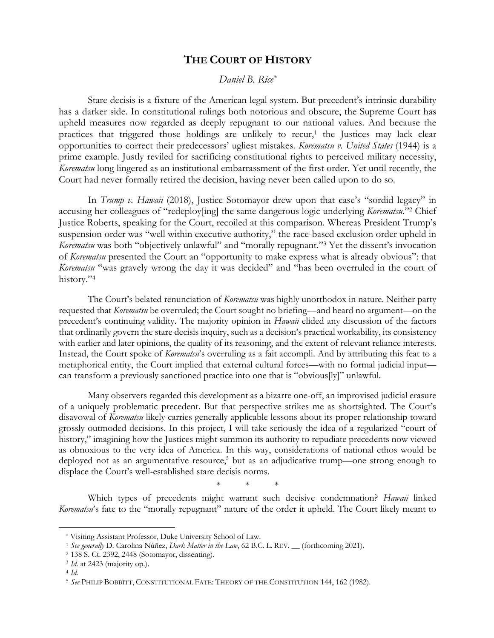## **THE COURT OF HISTORY**

*Daniel B. Rice\**

Stare decisis is a fixture of the American legal system. But precedent's intrinsic durability has a darker side. In constitutional rulings both notorious and obscure, the Supreme Court has upheld measures now regarded as deeply repugnant to our national values. And because the practices that triggered those holdings are unlikely to recur, <sup>1</sup> the Justices may lack clear opportunities to correct their predecessors' ugliest mistakes. *Korematsu v. United States* (1944) is a prime example. Justly reviled for sacrificing constitutional rights to perceived military necessity, *Korematsu* long lingered as an institutional embarrassment of the first order. Yet until recently, the Court had never formally retired the decision, having never been called upon to do so.

In *Trump v. Hawaii* (2018), Justice Sotomayor drew upon that case's "sordid legacy" in accusing her colleagues of "redeploy[ing] the same dangerous logic underlying *Korematsu*."2 Chief Justice Roberts, speaking for the Court, recoiled at this comparison. Whereas President Trump's suspension order was "well within executive authority," the race-based exclusion order upheld in *Korematsu* was both "objectively unlawful" and "morally repugnant."3 Yet the dissent's invocation of *Korematsu* presented the Court an "opportunity to make express what is already obvious": that *Korematsu* "was gravely wrong the day it was decided" and "has been overruled in the court of history."4

The Court's belated renunciation of *Korematsu* was highly unorthodox in nature. Neither party requested that *Korematsu* be overruled; the Court sought no briefing—and heard no argument—on the precedent's continuing validity. The majority opinion in *Hawaii* elided any discussion of the factors that ordinarily govern the stare decisis inquiry, such as a decision's practical workability, its consistency with earlier and later opinions, the quality of its reasoning, and the extent of relevant reliance interests. Instead, the Court spoke of *Korematsu*'s overruling as a fait accompli. And by attributing this feat to a metaphorical entity, the Court implied that external cultural forces—with no formal judicial input can transform a previously sanctioned practice into one that is "obvious[ly]" unlawful.

Many observers regarded this development as a bizarre one-off, an improvised judicial erasure of a uniquely problematic precedent. But that perspective strikes me as shortsighted. The Court's disavowal of *Korematsu* likely carries generally applicable lessons about its proper relationship toward grossly outmoded decisions. In this project, I will take seriously the idea of a regularized "court of history," imagining how the Justices might summon its authority to repudiate precedents now viewed as obnoxious to the very idea of America. In this way, considerations of national ethos would be deployed not as an argumentative resource,<sup>5</sup> but as an adjudicative trump—one strong enough to displace the Court's well-established stare decisis norms.

\* \* \*

Which types of precedents might warrant such decisive condemnation? *Hawaii* linked *Korematsu*'s fate to the "morally repugnant" nature of the order it upheld. The Court likely meant to

<sup>\*</sup> Visiting Assistant Professor, Duke University School of Law.

<sup>1</sup> *See generally* D. Carolina Núñez, *Dark Matter in the Law*, 62 B.C. L. REV. \_\_ (forthcoming 2021). 2 138 S. Ct. 2392, 2448 (Sotomayor, dissenting).

<sup>3</sup> *Id.* at 2423 (majority op.).

<sup>4</sup> *Id.*

<sup>5</sup> *See* PHILIP BOBBITT, CONSTITUTIONAL FATE: THEORY OF THE CONSTITUTION 144, 162 (1982).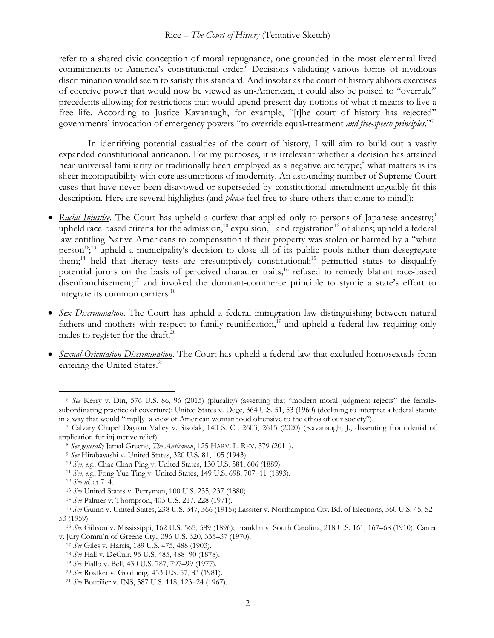refer to a shared civic conception of moral repugnance, one grounded in the most elemental lived commitments of America's constitutional order.<sup>6</sup> Decisions validating various forms of invidious discrimination would seem to satisfy this standard. And insofar as the court of history abhors exercises of coercive power that would now be viewed as un-American, it could also be poised to "overrule" precedents allowing for restrictions that would upend present-day notions of what it means to live a free life. According to Justice Kavanaugh, for example, "[t]he court of history has rejected" governments' invocation of emergency powers "to override equal-treatment *and free-speech principles*."7

In identifying potential casualties of the court of history, I will aim to build out a vastly expanded constitutional anticanon. For my purposes, it is irrelevant whether a decision has attained near-universal familiarity or traditionally been employed as a negative archetype;<sup>8</sup> what matters is its sheer incompatibility with core assumptions of modernity. An astounding number of Supreme Court cases that have never been disavowed or superseded by constitutional amendment arguably fit this description. Here are several highlights (and *please* feel free to share others that come to mind!):

- *Racial Injustice*. The Court has upheld a curfew that applied only to persons of Japanese ancestry;<sup>9</sup> upheld race-based criteria for the admission,<sup>10</sup> expulsion,<sup>11</sup> and registration<sup>12</sup> of aliens; upheld a federal law entitling Native Americans to compensation if their property was stolen or harmed by a "white person";13 upheld a municipality's decision to close all of its public pools rather than desegregate them;<sup>14</sup> held that literacy tests are presumptively constitutional;<sup>15</sup> permitted states to disqualify potential jurors on the basis of perceived character traits;<sup>16</sup> refused to remedy blatant race-based disenfranchisement;<sup>17</sup> and invoked the dormant-commerce principle to stymie a state's effort to integrate its common carriers.18
- *Sex Discrimination*. The Court has upheld a federal immigration law distinguishing between natural fathers and mothers with respect to family reunification,<sup>19</sup> and upheld a federal law requiring only males to register for the draft.<sup>20</sup>
- *Sexual-Orientation Discrimination*. The Court has upheld a federal law that excluded homosexuals from entering the United States.<sup>21</sup>

<sup>6</sup> *See* Kerry v. Din, 576 U.S. 86, 96 (2015) (plurality) (asserting that "modern moral judgment rejects" the femalesubordinating practice of coverture); United States v. Dege, 364 U.S. 51, 53 (1960) (declining to interpret a federal statute in a way that would "impl[y] a view of American womanhood offensive to the ethos of our society"). 7 Calvary Chapel Dayton Valley v. Sisolak, 140 S. Ct. 2603, 2615 (2020) (Kavanaugh, J., dissenting from denial of

application for injunctive relief).<br>
<sup>8</sup> See generally Jamal Greene, *The Anticanon*, 125 HARV. L. REV. 379 (2011).<br>
<sup>9</sup> See Hirabayashi v. United States, 320 U.S. 81, 105 (1943).<br>
<sup>10</sup> See, e.g., Chae Chan Ping v. United

<sup>53 (1959). 16</sup> *See* Gibson v. Mississippi, 162 U.S. 565, 589 (1896); Franklin v. South Carolina, 218 U.S. 161, 167–68 (1910); Carter v. Jury Comm'n of Greene Cty., 396 U.S. 320, 335–37 (1970).<br><sup>17</sup> See Giles v. Harris, 189 U.S. 475, 488 (1903).<br><sup>18</sup> See Hall v. DeCuir, 95 U.S. 485, 488–90 (1878).<br><sup>19</sup> See Fiallo v. Bell, 430 U.S. 787, 797–99 (1977).<br><sup>20</sup>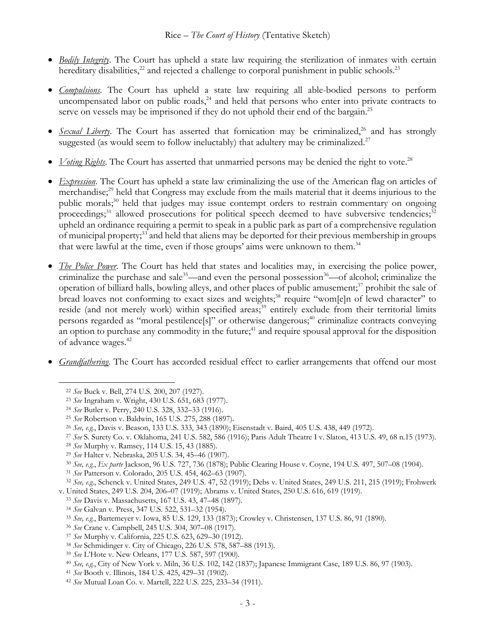- *Bodily Integrity*. The Court has upheld a state law requiring the sterilization of inmates with certain hereditary disabilities, $^{22}$  and rejected a challenge to corporal punishment in public schools. $^{23}$
- *Compulsions*. The Court has upheld a state law requiring all able-bodied persons to perform uncompensated labor on public roads, $^{24}$  and held that persons who enter into private contracts to serve on vessels may be imprisoned if they do not uphold their end of the bargain.<sup>25</sup>
- *Sexual Liberty*. The Court has asserted that fornication may be criminalized,<sup>26</sup> and has strongly suggested (as would seem to follow ineluctably) that adultery may be criminalized.<sup>27</sup>
- *Voting Rights*. The Court has asserted that unmarried persons may be denied the right to vote.<sup>28</sup>
- *Expression*. The Court has upheld a state law criminalizing the use of the American flag on articles of merchandise; <sup>29</sup> held that Congress may exclude from the mails material that it deems injurious to the public morals;<sup>30</sup> held that judges may issue contempt orders to restrain commentary on ongoing proceedings;<sup>31</sup> allowed prosecutions for political speech deemed to have subversive tendencies;<sup>32</sup> upheld an ordinance requiring a permit to speak in a public park as part of a comprehensive regulation of municipal property;33 and held that aliens may be deported for their previous membership in groups that were lawful at the time, even if those groups' aims were unknown to them.<sup>34</sup>
- *The Police Power*. The Court has held that states and localities may, in exercising the police power, criminalize the purchase and sale<sup>35</sup>—and even the personal possession<sup>36</sup>—of alcohol; criminalize the operation of billiard halls, bowling alleys, and other places of public amusement;<sup>37</sup> prohibit the sale of bread loaves not conforming to exact sizes and weights;<sup>38</sup> require "wom[e]n of lewd character" to reside (and not merely work) within specified areas;<sup>39</sup> entirely exclude from their territorial limits persons regarded as "moral pestilence[s]" or otherwise dangerous;<sup>40</sup> criminalize contracts conveying an option to purchase any commodity in the future;<sup>41</sup> and require spousal approval for the disposition of advance wages. 42
- *Grandfathering*. The Court has accorded residual effect to earlier arrangements that offend our most

<sup>28</sup> See Murphy v. Ramsey, 114 U.S. 15, 43 (1885).<br><sup>29</sup> See Halter v. Nebraska, 205 U.S. 34, 45–46 (1907).<br><sup>30</sup> See, e.g., Ex parte Jackson, 96 U.S. 727, 736 (1878); Public Clearing House v. Coyne, 194 U.S. 497, 507–08 (19

- 
- 
- 
- 
- 

<sup>22</sup> *See* Buck v. Bell, 274 U.S. 200, 207 (1927).

<sup>&</sup>lt;sup>23</sup> See Ingraham v. Wright, 430 U.S. 651, 683 (1977).<br><sup>24</sup> See Butler v. Perry, 240 U.S. 328, 332–33 (1916).<br><sup>25</sup> See Robertson v. Baldwin, 165 U.S. 275, 288 (1897).<br><sup>26</sup> See, e.g., Davis v. Beason, 133 U.S. 333, 343 (189

<sup>27</sup> *See* S. Surety Co. v. Oklahoma, 241 U.S. 582, 586 (1916); Paris Adult Theatre I v. Slaton, 413 U.S. 49, 68 n.15 (1973).

v. United States, 249 U.S. 204, 206–07 (1919); Abrams v. United States, 250 U.S. 616, 619 (1919).<br>
<sup>33</sup> See Davis v. Massachusetts, 167 U.S. 43, 47–48 (1897).<br>
<sup>34</sup> See Galvan v. Press, 347 U.S. 522, 531–32 (1954).<br>
<sup>35</sup> S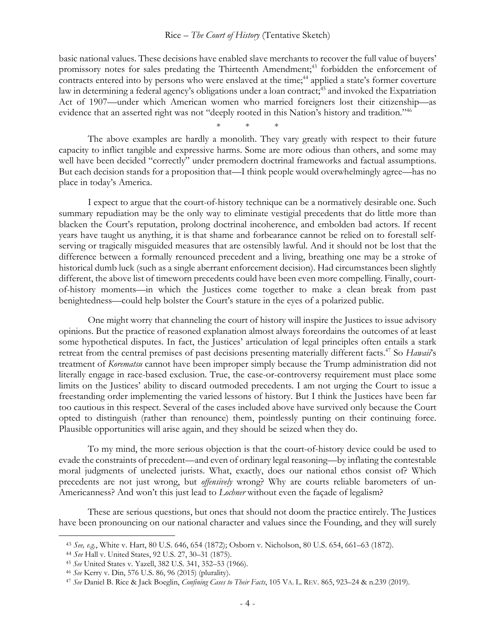## Rice – *The Court of History* (Tentative Sketch)

basic national values. These decisions have enabled slave merchants to recover the full value of buyers' promissory notes for sales predating the Thirteenth Amendment;<sup>43</sup> forbidden the enforcement of contracts entered into by persons who were enslaved at the time;<sup>44</sup> applied a state's former coverture law in determining a federal agency's obligations under a loan contract;<sup>45</sup> and invoked the Expatriation Act of 1907—under which American women who married foreigners lost their citizenship—as evidence that an asserted right was not "deeply rooted in this Nation's history and tradition."<sup>46</sup>

\* \* \*

The above examples are hardly a monolith. They vary greatly with respect to their future capacity to inflict tangible and expressive harms. Some are more odious than others, and some may well have been decided "correctly" under premodern doctrinal frameworks and factual assumptions. But each decision stands for a proposition that—I think people would overwhelmingly agree—has no place in today's America.

I expect to argue that the court-of-history technique can be a normatively desirable one. Such summary repudiation may be the only way to eliminate vestigial precedents that do little more than blacken the Court's reputation, prolong doctrinal incoherence, and embolden bad actors. If recent years have taught us anything, it is that shame and forbearance cannot be relied on to forestall selfserving or tragically misguided measures that are ostensibly lawful. And it should not be lost that the difference between a formally renounced precedent and a living, breathing one may be a stroke of historical dumb luck (such as a single aberrant enforcement decision). Had circumstances been slightly different, the above list of timeworn precedents could have been even more compelling. Finally, courtof-history moments—in which the Justices come together to make a clean break from past benightedness—could help bolster the Court's stature in the eyes of a polarized public.

One might worry that channeling the court of history will inspire the Justices to issue advisory opinions. But the practice of reasoned explanation almost always foreordains the outcomes of at least some hypothetical disputes. In fact, the Justices' articulation of legal principles often entails a stark retreat from the central premises of past decisions presenting materially different facts.<sup>47</sup> So *Hawaii*'s treatment of *Korematsu* cannot have been improper simply because the Trump administration did not literally engage in race-based exclusion. True, the case-or-controversy requirement must place some limits on the Justices' ability to discard outmoded precedents. I am not urging the Court to issue a freestanding order implementing the varied lessons of history. But I think the Justices have been far too cautious in this respect. Several of the cases included above have survived only because the Court opted to distinguish (rather than renounce) them, pointlessly punting on their continuing force. Plausible opportunities will arise again, and they should be seized when they do.

To my mind, the more serious objection is that the court-of-history device could be used to evade the constraints of precedent—and even of ordinary legal reasoning—by inflating the contestable moral judgments of unelected jurists. What, exactly, does our national ethos consist of? Which precedents are not just wrong, but *offensively* wrong? Why are courts reliable barometers of un-Americanness? And won't this just lead to *Lochner* without even the façade of legalism?

These are serious questions, but ones that should not doom the practice entirely. The Justices have been pronouncing on our national character and values since the Founding, and they will surely

<sup>43</sup> *See, e.g.*, White v. Hart, 80 U.S. 646, 654 (1872); Osborn v. Nicholson, 80 U.S. 654, 661–63 (1872).

<sup>44</sup> *See* Hall v. United States, 92 U.S. 27, 30–31 (1875).

<sup>&</sup>lt;sup>45</sup> See United States v. Yazell, 382 U.S. 341, 352–53 (1966).<br><sup>46</sup> See Kerry v. Din, 576 U.S. 86, 96 (2015) (plurality).<br><sup>47</sup> See Daniel B. Rice & Jack Boeglin, *Confining Cases to Their Facts*, 105 VA. L. REV. 865, 923–2